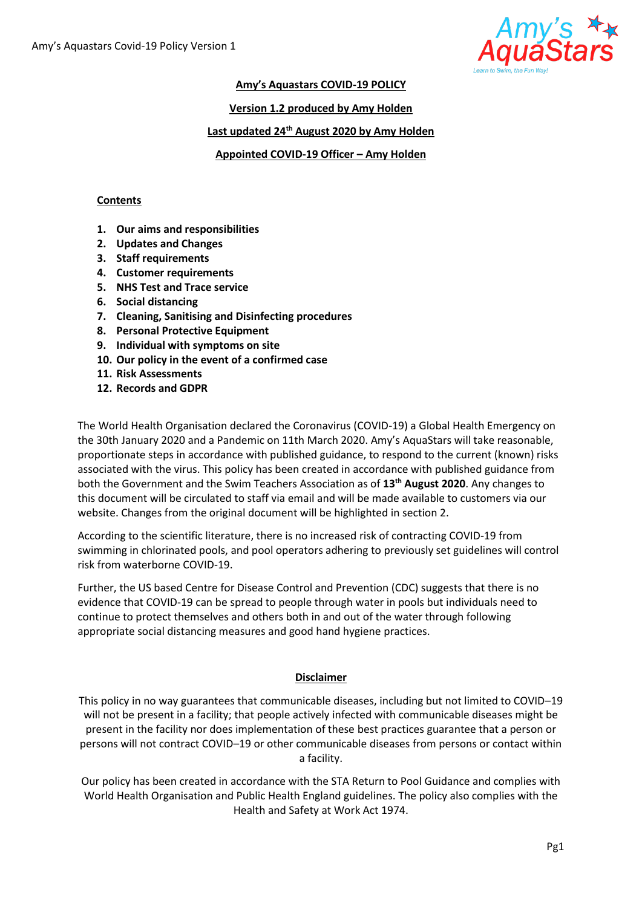

#### **Amy's Aquastars COVID-19 POLICY**

**Version 1.2 produced by Amy Holden**

## **Last updated 24th August 2020 by Amy Holden**

**Appointed COVID-19 Officer – Amy Holden**

#### **Contents**

- **1. Our aims and responsibilities**
- **2. Updates and Changes**
- **3. Staff requirements**
- **4. Customer requirements**
- **5. NHS Test and Trace service**
- **6. Social distancing**
- **7. Cleaning, Sanitising and Disinfecting procedures**
- **8. Personal Protective Equipment**
- **9. Individual with symptoms on site**
- **10. Our policy in the event of a confirmed case**
- **11. Risk Assessments**
- **12. Records and GDPR**

The World Health Organisation declared the Coronavirus (COVID-19) a Global Health Emergency on the 30th January 2020 and a Pandemic on 11th March 2020. Amy's AquaStars will take reasonable, proportionate steps in accordance with published guidance, to respond to the current (known) risks associated with the virus. This policy has been created in accordance with published guidance from both the Government and the Swim Teachers Association as of **13th August 2020**. Any changes to this document will be circulated to staff via email and will be made available to customers via our website. Changes from the original document will be highlighted in section 2.

According to the scientific literature, there is no increased risk of contracting COVID-19 from swimming in chlorinated pools, and pool operators adhering to previously set guidelines will control risk from waterborne COVID-19.

Further, the US based Centre for Disease Control and Prevention (CDC) suggests that there is no evidence that COVID-19 can be spread to people through water in pools but individuals need to continue to protect themselves and others both in and out of the water through following appropriate social distancing measures and good hand hygiene practices.

## **Disclaimer**

This policy in no way guarantees that communicable diseases, including but not limited to COVID–19 will not be present in a facility; that people actively infected with communicable diseases might be present in the facility nor does implementation of these best practices guarantee that a person or persons will not contract COVID–19 or other communicable diseases from persons or contact within a facility.

Our policy has been created in accordance with the STA Return to Pool Guidance and complies with World Health Organisation and Public Health England guidelines. The policy also complies with the Health and Safety at Work Act 1974.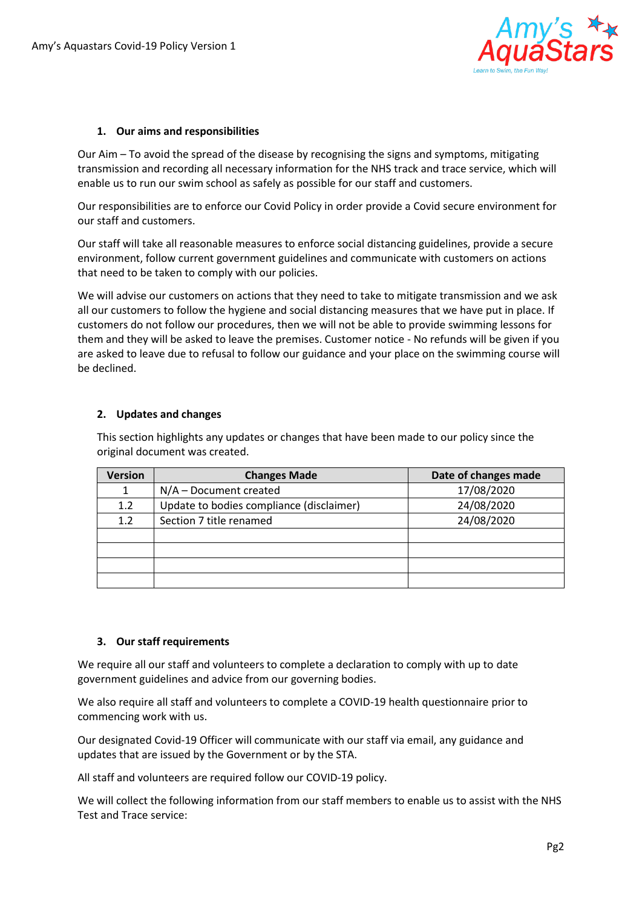

# **1. Our aims and responsibilities**

Our Aim – To avoid the spread of the disease by recognising the signs and symptoms, mitigating transmission and recording all necessary information for the NHS track and trace service, which will enable us to run our swim school as safely as possible for our staff and customers.

Our responsibilities are to enforce our Covid Policy in order provide a Covid secure environment for our staff and customers.

Our staff will take all reasonable measures to enforce social distancing guidelines, provide a secure environment, follow current government guidelines and communicate with customers on actions that need to be taken to comply with our policies.

We will advise our customers on actions that they need to take to mitigate transmission and we ask all our customers to follow the hygiene and social distancing measures that we have put in place. If customers do not follow our procedures, then we will not be able to provide swimming lessons for them and they will be asked to leave the premises. Customer notice - No refunds will be given if you are asked to leave due to refusal to follow our guidance and your place on the swimming course will be declined.

# **2. Updates and changes**

This section highlights any updates or changes that have been made to our policy since the original document was created.

| <b>Version</b> | <b>Changes Made</b>                      | Date of changes made |
|----------------|------------------------------------------|----------------------|
|                | $N/A$ – Document created                 | 17/08/2020           |
| 1.2            | Update to bodies compliance (disclaimer) | 24/08/2020           |
| 1.2            | Section 7 title renamed                  | 24/08/2020           |
|                |                                          |                      |
|                |                                          |                      |
|                |                                          |                      |
|                |                                          |                      |

## **3. Our staff requirements**

We require all our staff and volunteers to complete a declaration to comply with up to date government guidelines and advice from our governing bodies.

We also require all staff and volunteers to complete a COVID-19 health questionnaire prior to commencing work with us.

Our designated Covid-19 Officer will communicate with our staff via email, any guidance and updates that are issued by the Government or by the STA.

All staff and volunteers are required follow our COVID-19 policy.

We will collect the following information from our staff members to enable us to assist with the NHS Test and Trace service: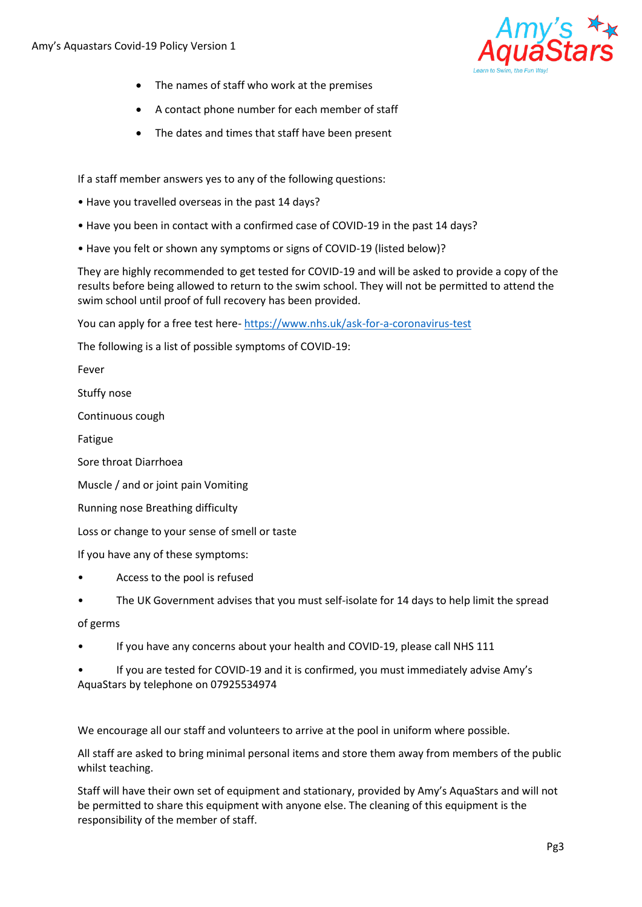

- The names of staff who work at the premises
- A contact phone number for each member of staff
- The dates and times that staff have been present

If a staff member answers yes to any of the following questions:

- Have you travelled overseas in the past 14 days?
- Have you been in contact with a confirmed case of COVID-19 in the past 14 days?
- Have you felt or shown any symptoms or signs of COVID-19 (listed below)?

They are highly recommended to get tested for COVID-19 and will be asked to provide a copy of the results before being allowed to return to the swim school. They will not be permitted to attend the swim school until proof of full recovery has been provided.

You can apply for a free test here- <https://www.nhs.uk/ask-for-a-coronavirus-test>

The following is a list of possible symptoms of COVID-19:

Fever

Stuffy nose

Continuous cough

Fatigue

Sore throat Diarrhoea

Muscle / and or joint pain Vomiting

Running nose Breathing difficulty

Loss or change to your sense of smell or taste

If you have any of these symptoms:

- Access to the pool is refused
- The UK Government advises that you must self-isolate for 14 days to help limit the spread

## of germs

• If you have any concerns about your health and COVID-19, please call NHS 111

• If you are tested for COVID-19 and it is confirmed, you must immediately advise Amy's AquaStars by telephone on 07925534974

We encourage all our staff and volunteers to arrive at the pool in uniform where possible.

All staff are asked to bring minimal personal items and store them away from members of the public whilst teaching.

Staff will have their own set of equipment and stationary, provided by Amy's AquaStars and will not be permitted to share this equipment with anyone else. The cleaning of this equipment is the responsibility of the member of staff.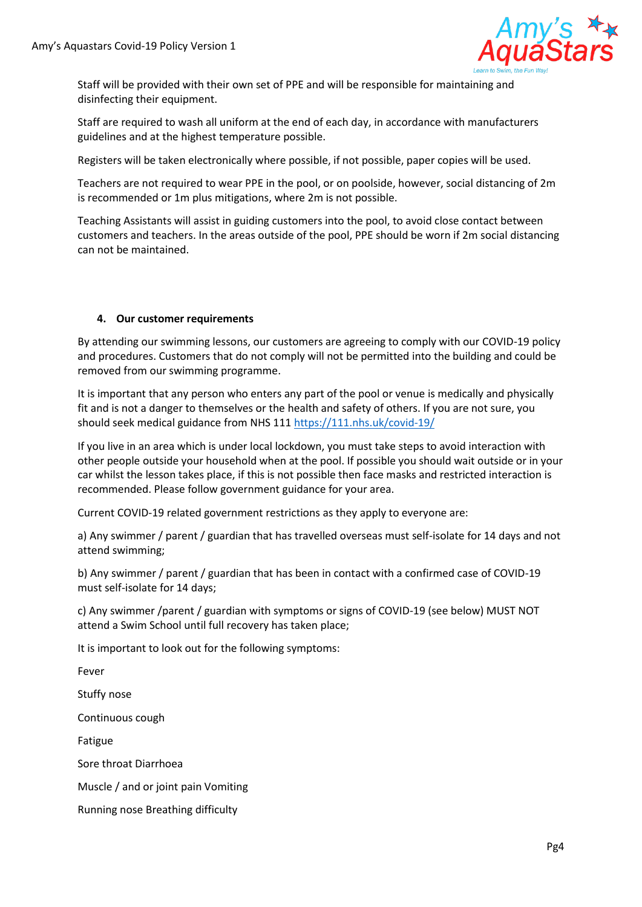

Staff will be provided with their own set of PPE and will be responsible for maintaining and disinfecting their equipment.

Staff are required to wash all uniform at the end of each day, in accordance with manufacturers guidelines and at the highest temperature possible.

Registers will be taken electronically where possible, if not possible, paper copies will be used.

Teachers are not required to wear PPE in the pool, or on poolside, however, social distancing of 2m is recommended or 1m plus mitigations, where 2m is not possible.

Teaching Assistants will assist in guiding customers into the pool, to avoid close contact between customers and teachers. In the areas outside of the pool, PPE should be worn if 2m social distancing can not be maintained.

# **4. Our customer requirements**

By attending our swimming lessons, our customers are agreeing to comply with our COVID-19 policy and procedures. Customers that do not comply will not be permitted into the building and could be removed from our swimming programme.

It is important that any person who enters any part of the pool or venue is medically and physically fit and is not a danger to themselves or the health and safety of others. If you are not sure, you should seek medical guidance from NHS 11[1 https://111.nhs.uk/covid-19/](https://111.nhs.uk/covid-19/)

If you live in an area which is under local lockdown, you must take steps to avoid interaction with other people outside your household when at the pool. If possible you should wait outside or in your car whilst the lesson takes place, if this is not possible then face masks and restricted interaction is recommended. Please follow government guidance for your area.

Current COVID-19 related government restrictions as they apply to everyone are:

a) Any swimmer / parent / guardian that has travelled overseas must self-isolate for 14 days and not attend swimming;

b) Any swimmer / parent / guardian that has been in contact with a confirmed case of COVID-19 must self-isolate for 14 days;

c) Any swimmer /parent / guardian with symptoms or signs of COVID-19 (see below) MUST NOT attend a Swim School until full recovery has taken place;

It is important to look out for the following symptoms:

Fever

Stuffy nose

Continuous cough

Fatigue

Sore throat Diarrhoea

Muscle / and or joint pain Vomiting

Running nose Breathing difficulty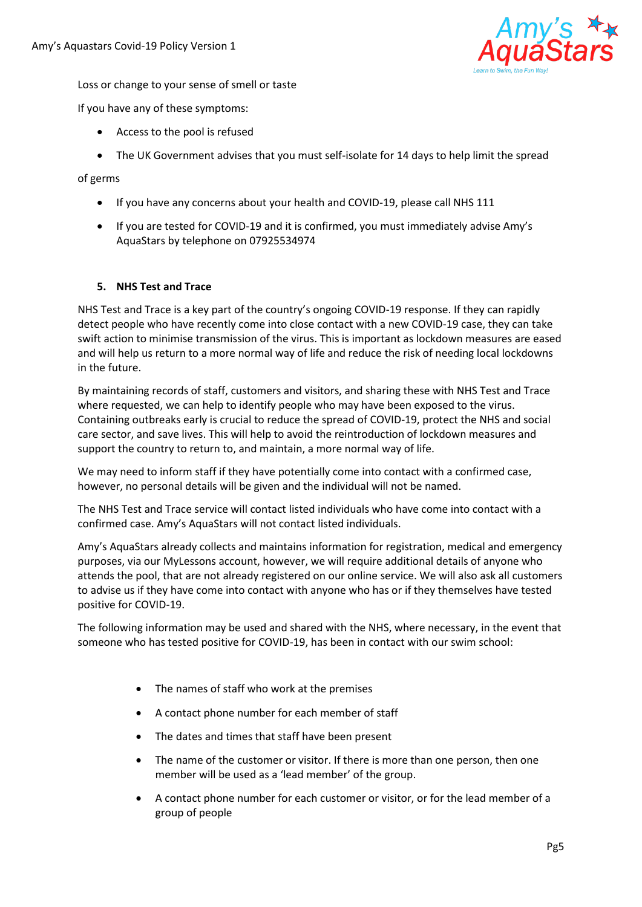

Loss or change to your sense of smell or taste

If you have any of these symptoms:

- Access to the pool is refused
- The UK Government advises that you must self-isolate for 14 days to help limit the spread

## of germs

- If you have any concerns about your health and COVID-19, please call NHS 111
- If you are tested for COVID-19 and it is confirmed, you must immediately advise Amy's AquaStars by telephone on 07925534974

# **5. NHS Test and Trace**

NHS Test and Trace is a key part of the country's ongoing COVID-19 response. If they can rapidly detect people who have recently come into close contact with a new COVID-19 case, they can take swift action to minimise transmission of the virus. This is important as lockdown measures are eased and will help us return to a more normal way of life and reduce the risk of needing local lockdowns in the future.

By maintaining records of staff, customers and visitors, and sharing these with NHS Test and Trace where requested, we can help to identify people who may have been exposed to the virus. Containing outbreaks early is crucial to reduce the spread of COVID-19, protect the NHS and social care sector, and save lives. This will help to avoid the reintroduction of lockdown measures and support the country to return to, and maintain, a more normal way of life.

We may need to inform staff if they have potentially come into contact with a confirmed case, however, no personal details will be given and the individual will not be named.

The NHS Test and Trace service will contact listed individuals who have come into contact with a confirmed case. Amy's AquaStars will not contact listed individuals.

Amy's AquaStars already collects and maintains information for registration, medical and emergency purposes, via our MyLessons account, however, we will require additional details of anyone who attends the pool, that are not already registered on our online service. We will also ask all customers to advise us if they have come into contact with anyone who has or if they themselves have tested positive for COVID-19.

The following information may be used and shared with the NHS, where necessary, in the event that someone who has tested positive for COVID-19, has been in contact with our swim school:

- The names of staff who work at the premises
- A contact phone number for each member of staff
- The dates and times that staff have been present
- The name of the customer or visitor. If there is more than one person, then one member will be used as a 'lead member' of the group.
- A contact phone number for each customer or visitor, or for the lead member of a group of people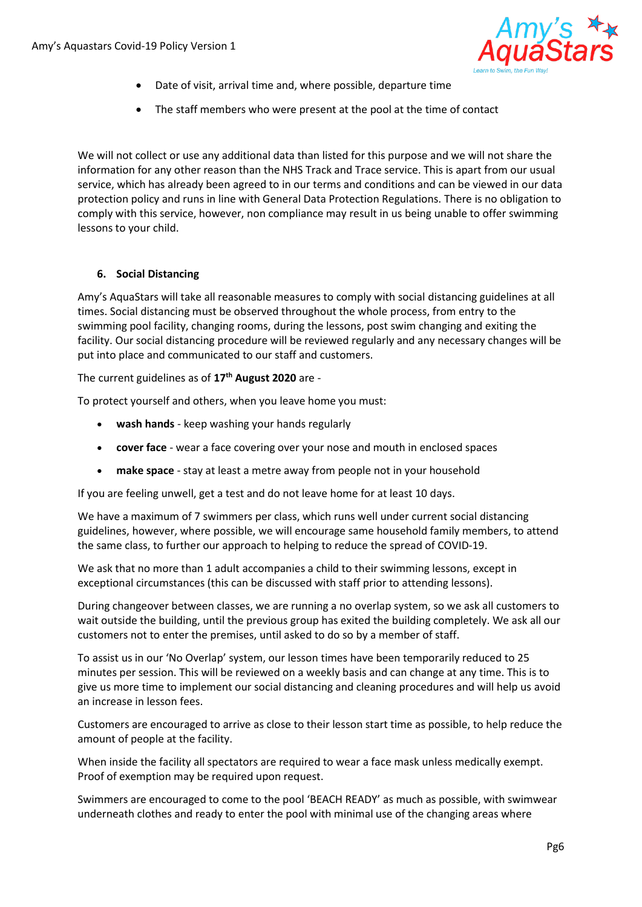

- Date of visit, arrival time and, where possible, departure time
- The staff members who were present at the pool at the time of contact

We will not collect or use any additional data than listed for this purpose and we will not share the information for any other reason than the NHS Track and Trace service. This is apart from our usual service, which has already been agreed to in our terms and conditions and can be viewed in our data protection policy and runs in line with General Data Protection Regulations. There is no obligation to comply with this service, however, non compliance may result in us being unable to offer swimming lessons to your child.

## **6. Social Distancing**

Amy's AquaStars will take all reasonable measures to comply with social distancing guidelines at all times. Social distancing must be observed throughout the whole process, from entry to the swimming pool facility, changing rooms, during the lessons, post swim changing and exiting the facility. Our social distancing procedure will be reviewed regularly and any necessary changes will be put into place and communicated to our staff and customers.

The current guidelines as of **17th August 2020** are -

To protect yourself and others, when you leave home you must:

- **wash hands** keep washing your hands regularly
- **cover face** wear a face covering over your nose and mouth in enclosed spaces
- **make space** stay at least a metre away from people not in your household

If you are feeling unwell, get a test and do not leave home for at least 10 days.

We have a maximum of 7 swimmers per class, which runs well under current social distancing guidelines, however, where possible, we will encourage same household family members, to attend the same class, to further our approach to helping to reduce the spread of COVID-19.

We ask that no more than 1 adult accompanies a child to their swimming lessons, except in exceptional circumstances (this can be discussed with staff prior to attending lessons).

During changeover between classes, we are running a no overlap system, so we ask all customers to wait outside the building, until the previous group has exited the building completely. We ask all our customers not to enter the premises, until asked to do so by a member of staff.

To assist us in our 'No Overlap' system, our lesson times have been temporarily reduced to 25 minutes per session. This will be reviewed on a weekly basis and can change at any time. This is to give us more time to implement our social distancing and cleaning procedures and will help us avoid an increase in lesson fees.

Customers are encouraged to arrive as close to their lesson start time as possible, to help reduce the amount of people at the facility.

When inside the facility all spectators are required to wear a face mask unless medically exempt. Proof of exemption may be required upon request.

Swimmers are encouraged to come to the pool 'BEACH READY' as much as possible, with swimwear underneath clothes and ready to enter the pool with minimal use of the changing areas where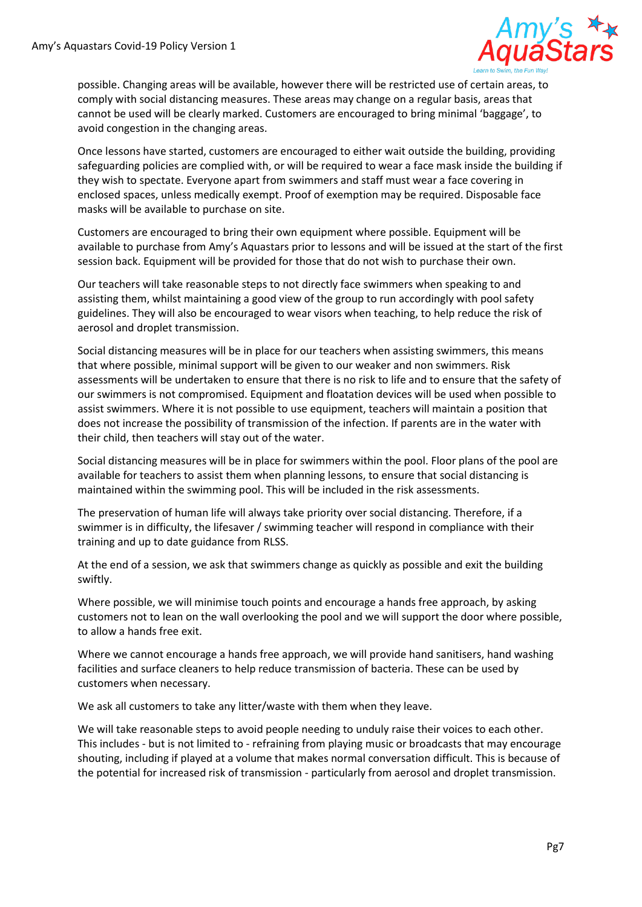

possible. Changing areas will be available, however there will be restricted use of certain areas, to comply with social distancing measures. These areas may change on a regular basis, areas that cannot be used will be clearly marked. Customers are encouraged to bring minimal 'baggage', to avoid congestion in the changing areas.

Once lessons have started, customers are encouraged to either wait outside the building, providing safeguarding policies are complied with, or will be required to wear a face mask inside the building if they wish to spectate. Everyone apart from swimmers and staff must wear a face covering in enclosed spaces, unless medically exempt. Proof of exemption may be required. Disposable face masks will be available to purchase on site.

Customers are encouraged to bring their own equipment where possible. Equipment will be available to purchase from Amy's Aquastars prior to lessons and will be issued at the start of the first session back. Equipment will be provided for those that do not wish to purchase their own.

Our teachers will take reasonable steps to not directly face swimmers when speaking to and assisting them, whilst maintaining a good view of the group to run accordingly with pool safety guidelines. They will also be encouraged to wear visors when teaching, to help reduce the risk of aerosol and droplet transmission.

Social distancing measures will be in place for our teachers when assisting swimmers, this means that where possible, minimal support will be given to our weaker and non swimmers. Risk assessments will be undertaken to ensure that there is no risk to life and to ensure that the safety of our swimmers is not compromised. Equipment and floatation devices will be used when possible to assist swimmers. Where it is not possible to use equipment, teachers will maintain a position that does not increase the possibility of transmission of the infection. If parents are in the water with their child, then teachers will stay out of the water.

Social distancing measures will be in place for swimmers within the pool. Floor plans of the pool are available for teachers to assist them when planning lessons, to ensure that social distancing is maintained within the swimming pool. This will be included in the risk assessments.

The preservation of human life will always take priority over social distancing. Therefore, if a swimmer is in difficulty, the lifesaver / swimming teacher will respond in compliance with their training and up to date guidance from RLSS.

At the end of a session, we ask that swimmers change as quickly as possible and exit the building swiftly.

Where possible, we will minimise touch points and encourage a hands free approach, by asking customers not to lean on the wall overlooking the pool and we will support the door where possible, to allow a hands free exit.

Where we cannot encourage a hands free approach, we will provide hand sanitisers, hand washing facilities and surface cleaners to help reduce transmission of bacteria. These can be used by customers when necessary.

We ask all customers to take any litter/waste with them when they leave.

We will take reasonable steps to avoid people needing to unduly raise their voices to each other. This includes - but is not limited to - refraining from playing music or broadcasts that may encourage shouting, including if played at a volume that makes normal conversation difficult. This is because of the potential for increased risk of transmission - particularly from aerosol and droplet transmission.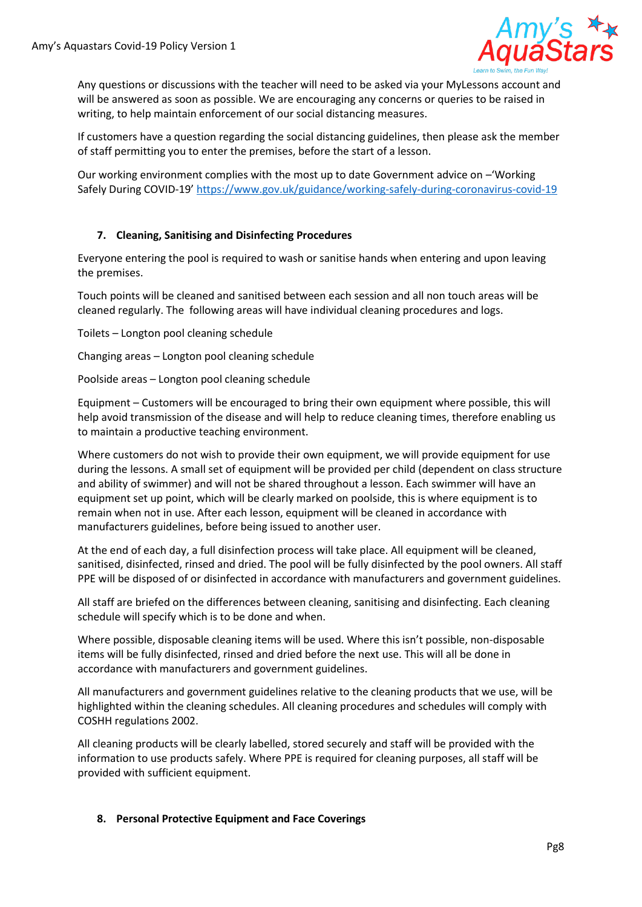

Any questions or discussions with the teacher will need to be asked via your MyLessons account and will be answered as soon as possible. We are encouraging any concerns or queries to be raised in writing, to help maintain enforcement of our social distancing measures.

If customers have a question regarding the social distancing guidelines, then please ask the member of staff permitting you to enter the premises, before the start of a lesson.

Our working environment complies with the most up to date Government advice on –'Working Safely During COVID-19' <https://www.gov.uk/guidance/working-safely-during-coronavirus-covid-19>

# **7. Cleaning, Sanitising and Disinfecting Procedures**

Everyone entering the pool is required to wash or sanitise hands when entering and upon leaving the premises.

Touch points will be cleaned and sanitised between each session and all non touch areas will be cleaned regularly. The following areas will have individual cleaning procedures and logs.

Toilets – Longton pool cleaning schedule

Changing areas – Longton pool cleaning schedule

Poolside areas – Longton pool cleaning schedule

Equipment – Customers will be encouraged to bring their own equipment where possible, this will help avoid transmission of the disease and will help to reduce cleaning times, therefore enabling us to maintain a productive teaching environment.

Where customers do not wish to provide their own equipment, we will provide equipment for use during the lessons. A small set of equipment will be provided per child (dependent on class structure and ability of swimmer) and will not be shared throughout a lesson. Each swimmer will have an equipment set up point, which will be clearly marked on poolside, this is where equipment is to remain when not in use. After each lesson, equipment will be cleaned in accordance with manufacturers guidelines, before being issued to another user.

At the end of each day, a full disinfection process will take place. All equipment will be cleaned, sanitised, disinfected, rinsed and dried. The pool will be fully disinfected by the pool owners. All staff PPE will be disposed of or disinfected in accordance with manufacturers and government guidelines.

All staff are briefed on the differences between cleaning, sanitising and disinfecting. Each cleaning schedule will specify which is to be done and when.

Where possible, disposable cleaning items will be used. Where this isn't possible, non-disposable items will be fully disinfected, rinsed and dried before the next use. This will all be done in accordance with manufacturers and government guidelines.

All manufacturers and government guidelines relative to the cleaning products that we use, will be highlighted within the cleaning schedules. All cleaning procedures and schedules will comply with COSHH regulations 2002.

All cleaning products will be clearly labelled, stored securely and staff will be provided with the information to use products safely. Where PPE is required for cleaning purposes, all staff will be provided with sufficient equipment.

## **8. Personal Protective Equipment and Face Coverings**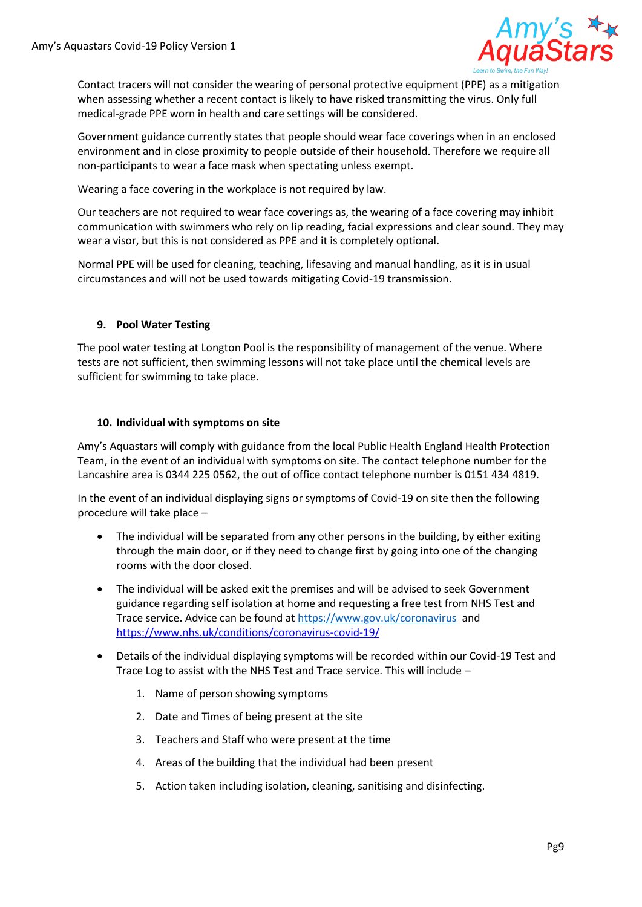

Contact tracers will not consider the wearing of personal protective equipment (PPE) as a mitigation when assessing whether a recent contact is likely to have risked transmitting the virus. Only full medical-grade PPE worn in health and care settings will be considered.

Government guidance currently states that people should wear face coverings when in an enclosed environment and in close proximity to people outside of their household. Therefore we require all non-participants to wear a face mask when spectating unless exempt.

Wearing a face covering in the workplace is not required by law.

Our teachers are not required to wear face coverings as, the wearing of a face covering may inhibit communication with swimmers who rely on lip reading, facial expressions and clear sound. They may wear a visor, but this is not considered as PPE and it is completely optional.

Normal PPE will be used for cleaning, teaching, lifesaving and manual handling, as it is in usual circumstances and will not be used towards mitigating Covid-19 transmission.

# **9. Pool Water Testing**

The pool water testing at Longton Pool is the responsibility of management of the venue. Where tests are not sufficient, then swimming lessons will not take place until the chemical levels are sufficient for swimming to take place.

## **10. Individual with symptoms on site**

Amy's Aquastars will comply with guidance from the local Public Health England Health Protection Team, in the event of an individual with symptoms on site. The contact telephone number for the Lancashire area is 0344 225 0562, the out of office contact telephone number is 0151 434 4819.

In the event of an individual displaying signs or symptoms of Covid-19 on site then the following procedure will take place –

- The individual will be separated from any other persons in the building, by either exiting through the main door, or if they need to change first by going into one of the changing rooms with the door closed.
- The individual will be asked exit the premises and will be advised to seek Government guidance regarding self isolation at home and requesting a free test from NHS Test and Trace service. Advice can be found at<https://www.gov.uk/coronavirus>and <https://www.nhs.uk/conditions/coronavirus-covid-19/>
- Details of the individual displaying symptoms will be recorded within our Covid-19 Test and Trace Log to assist with the NHS Test and Trace service. This will include –
	- 1. Name of person showing symptoms
	- 2. Date and Times of being present at the site
	- 3. Teachers and Staff who were present at the time
	- 4. Areas of the building that the individual had been present
	- 5. Action taken including isolation, cleaning, sanitising and disinfecting.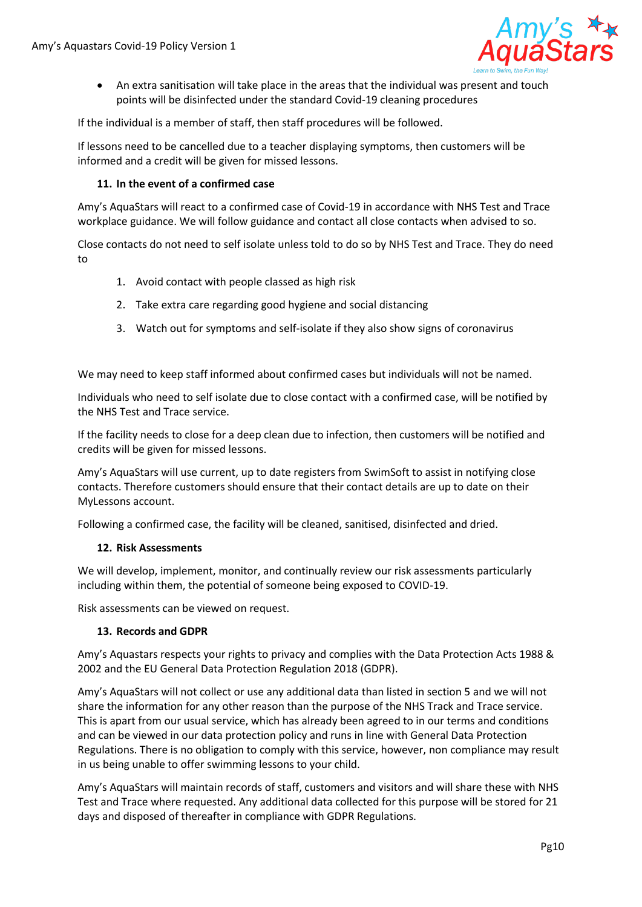

• An extra sanitisation will take place in the areas that the individual was present and touch points will be disinfected under the standard Covid-19 cleaning procedures

If the individual is a member of staff, then staff procedures will be followed.

If lessons need to be cancelled due to a teacher displaying symptoms, then customers will be informed and a credit will be given for missed lessons.

## **11. In the event of a confirmed case**

Amy's AquaStars will react to a confirmed case of Covid-19 in accordance with NHS Test and Trace workplace guidance. We will follow guidance and contact all close contacts when advised to so.

Close contacts do not need to self isolate unless told to do so by NHS Test and Trace. They do need to

- 1. Avoid contact with people classed as high risk
- 2. Take extra care regarding good hygiene and social distancing
- 3. Watch out for symptoms and self-isolate if they also show signs of coronavirus

We may need to keep staff informed about confirmed cases but individuals will not be named.

Individuals who need to self isolate due to close contact with a confirmed case, will be notified by the NHS Test and Trace service.

If the facility needs to close for a deep clean due to infection, then customers will be notified and credits will be given for missed lessons.

Amy's AquaStars will use current, up to date registers from SwimSoft to assist in notifying close contacts. Therefore customers should ensure that their contact details are up to date on their MyLessons account.

Following a confirmed case, the facility will be cleaned, sanitised, disinfected and dried.

#### **12. Risk Assessments**

We will develop, implement, monitor, and continually review our risk assessments particularly including within them, the potential of someone being exposed to COVID-19.

Risk assessments can be viewed on request.

## **13. Records and GDPR**

Amy's Aquastars respects your rights to privacy and complies with the Data Protection Acts 1988 & 2002 and the EU General Data Protection Regulation 2018 (GDPR).

Amy's AquaStars will not collect or use any additional data than listed in section 5 and we will not share the information for any other reason than the purpose of the NHS Track and Trace service. This is apart from our usual service, which has already been agreed to in our terms and conditions and can be viewed in our data protection policy and runs in line with General Data Protection Regulations. There is no obligation to comply with this service, however, non compliance may result in us being unable to offer swimming lessons to your child.

Amy's AquaStars will maintain records of staff, customers and visitors and will share these with NHS Test and Trace where requested. Any additional data collected for this purpose will be stored for 21 days and disposed of thereafter in compliance with GDPR Regulations.